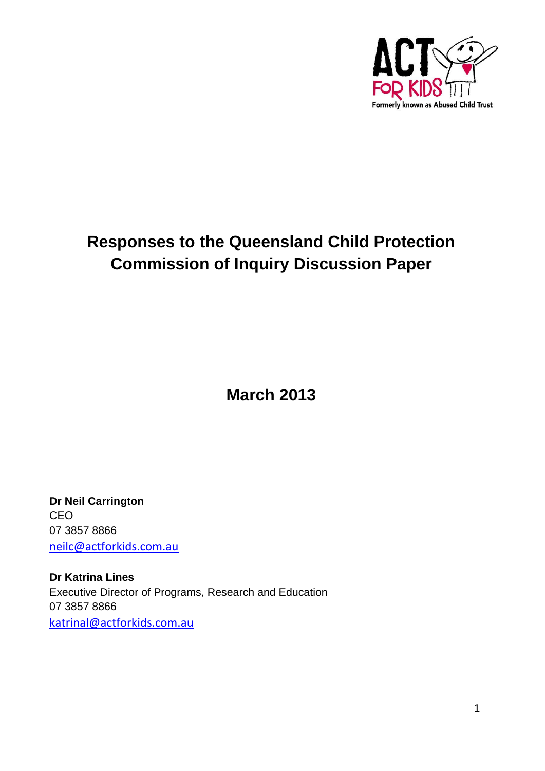

# **Responses to the Queensland Child Protection Commission of Inquiry Discussion Paper**

**March 2013**

**Dr Neil Carrington CEO** 07 3857 8866 [neilc@actforkids.com.au](mailto:neilc@actforkids.com.au)

**Dr Katrina Lines** Executive Director of Programs, Research and Education 07 3857 8866 [katrinal@actforkids.com.au](mailto:katrinal@actforkids.com.au)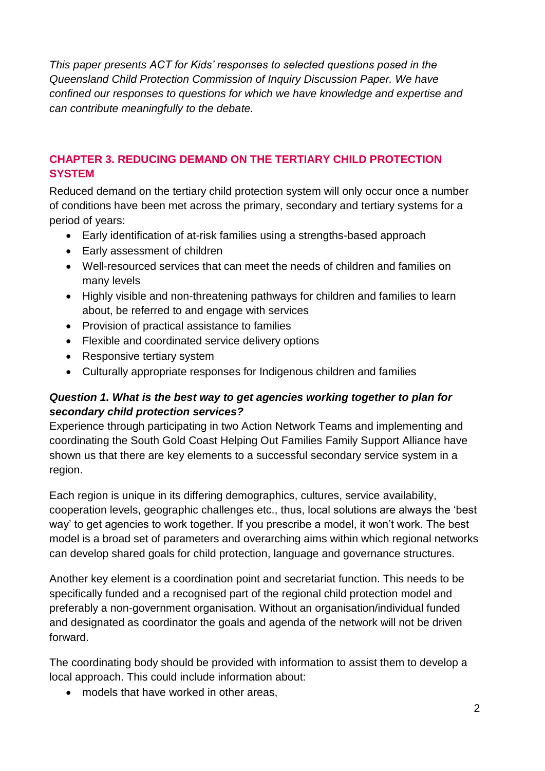*This paper presents ACT for Kids' responses to selected questions posed in the Queensland Child Protection Commission of Inquiry Discussion Paper. We have confined our responses to questions for which we have knowledge and expertise and can contribute meaningfully to the debate.*

# **CHAPTER 3. REDUCING DEMAND ON THE TERTIARY CHILD PROTECTION SYSTEM**

Reduced demand on the tertiary child protection system will only occur once a number of conditions have been met across the primary, secondary and tertiary systems for a period of years:

- Early identification of at-risk families using a strengths-based approach
- Early assessment of children
- Well-resourced services that can meet the needs of children and families on many levels
- Highly visible and non-threatening pathways for children and families to learn about, be referred to and engage with services
- Provision of practical assistance to families
- Flexible and coordinated service delivery options
- Responsive tertiary system
- Culturally appropriate responses for Indigenous children and families

# *Question 1. What is the best way to get agencies working together to plan for secondary child protection services?*

Experience through participating in two Action Network Teams and implementing and coordinating the South Gold Coast Helping Out Families Family Support Alliance have shown us that there are key elements to a successful secondary service system in a region.

Each region is unique in its differing demographics, cultures, service availability, cooperation levels, geographic challenges etc., thus, local solutions are always the 'best way' to get agencies to work together. If you prescribe a model, it won't work. The best model is a broad set of parameters and overarching aims within which regional networks can develop shared goals for child protection, language and governance structures.

Another key element is a coordination point and secretariat function. This needs to be specifically funded and a recognised part of the regional child protection model and preferably a non-government organisation. Without an organisation/individual funded and designated as coordinator the goals and agenda of the network will not be driven forward.

The coordinating body should be provided with information to assist them to develop a local approach. This could include information about:

• models that have worked in other areas,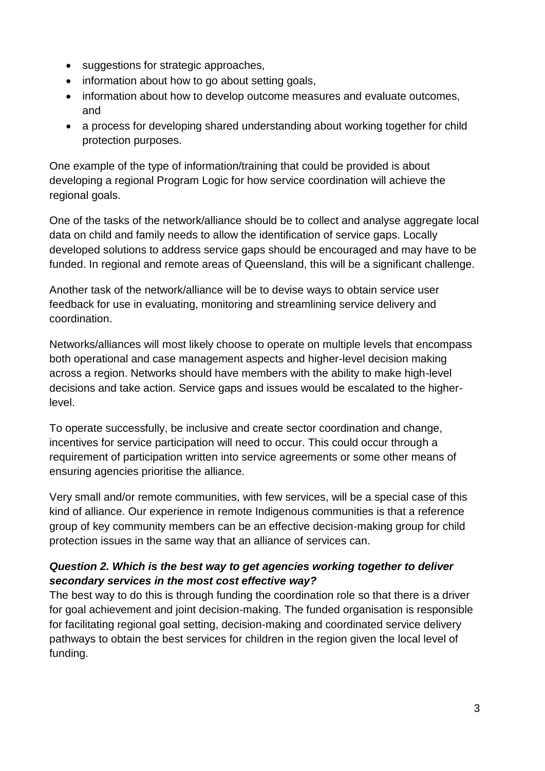- suggestions for strategic approaches,
- information about how to go about setting goals,
- information about how to develop outcome measures and evaluate outcomes, and
- a process for developing shared understanding about working together for child protection purposes.

One example of the type of information/training that could be provided is about developing a regional Program Logic for how service coordination will achieve the regional goals.

One of the tasks of the network/alliance should be to collect and analyse aggregate local data on child and family needs to allow the identification of service gaps. Locally developed solutions to address service gaps should be encouraged and may have to be funded. In regional and remote areas of Queensland, this will be a significant challenge.

Another task of the network/alliance will be to devise ways to obtain service user feedback for use in evaluating, monitoring and streamlining service delivery and coordination.

Networks/alliances will most likely choose to operate on multiple levels that encompass both operational and case management aspects and higher-level decision making across a region. Networks should have members with the ability to make high-level decisions and take action. Service gaps and issues would be escalated to the higherlevel.

To operate successfully, be inclusive and create sector coordination and change, incentives for service participation will need to occur. This could occur through a requirement of participation written into service agreements or some other means of ensuring agencies prioritise the alliance.

Very small and/or remote communities, with few services, will be a special case of this kind of alliance. Our experience in remote Indigenous communities is that a reference group of key community members can be an effective decision-making group for child protection issues in the same way that an alliance of services can.

# *Question 2. Which is the best way to get agencies working together to deliver secondary services in the most cost effective way?*

The best way to do this is through funding the coordination role so that there is a driver for goal achievement and joint decision-making. The funded organisation is responsible for facilitating regional goal setting, decision-making and coordinated service delivery pathways to obtain the best services for children in the region given the local level of funding.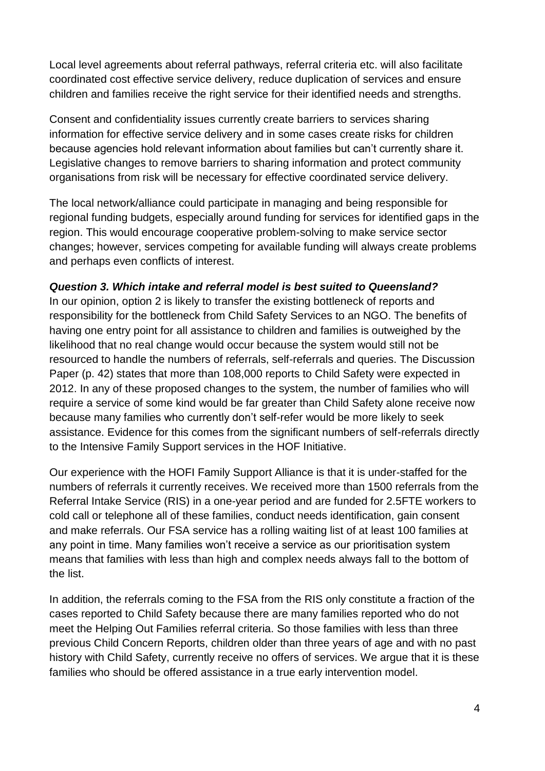Local level agreements about referral pathways, referral criteria etc. will also facilitate coordinated cost effective service delivery, reduce duplication of services and ensure children and families receive the right service for their identified needs and strengths.

Consent and confidentiality issues currently create barriers to services sharing information for effective service delivery and in some cases create risks for children because agencies hold relevant information about families but can't currently share it. Legislative changes to remove barriers to sharing information and protect community organisations from risk will be necessary for effective coordinated service delivery.

The local network/alliance could participate in managing and being responsible for regional funding budgets, especially around funding for services for identified gaps in the region. This would encourage cooperative problem-solving to make service sector changes; however, services competing for available funding will always create problems and perhaps even conflicts of interest.

## *Question 3. Which intake and referral model is best suited to Queensland?*

In our opinion, option 2 is likely to transfer the existing bottleneck of reports and responsibility for the bottleneck from Child Safety Services to an NGO. The benefits of having one entry point for all assistance to children and families is outweighed by the likelihood that no real change would occur because the system would still not be resourced to handle the numbers of referrals, self-referrals and queries. The Discussion Paper (p. 42) states that more than 108,000 reports to Child Safety were expected in 2012. In any of these proposed changes to the system, the number of families who will require a service of some kind would be far greater than Child Safety alone receive now because many families who currently don't self-refer would be more likely to seek assistance. Evidence for this comes from the significant numbers of self-referrals directly to the Intensive Family Support services in the HOF Initiative.

Our experience with the HOFI Family Support Alliance is that it is under-staffed for the numbers of referrals it currently receives. We received more than 1500 referrals from the Referral Intake Service (RIS) in a one-year period and are funded for 2.5FTE workers to cold call or telephone all of these families, conduct needs identification, gain consent and make referrals. Our FSA service has a rolling waiting list of at least 100 families at any point in time. Many families won't receive a service as our prioritisation system means that families with less than high and complex needs always fall to the bottom of the list.

In addition, the referrals coming to the FSA from the RIS only constitute a fraction of the cases reported to Child Safety because there are many families reported who do not meet the Helping Out Families referral criteria. So those families with less than three previous Child Concern Reports, children older than three years of age and with no past history with Child Safety, currently receive no offers of services. We argue that it is these families who should be offered assistance in a true early intervention model.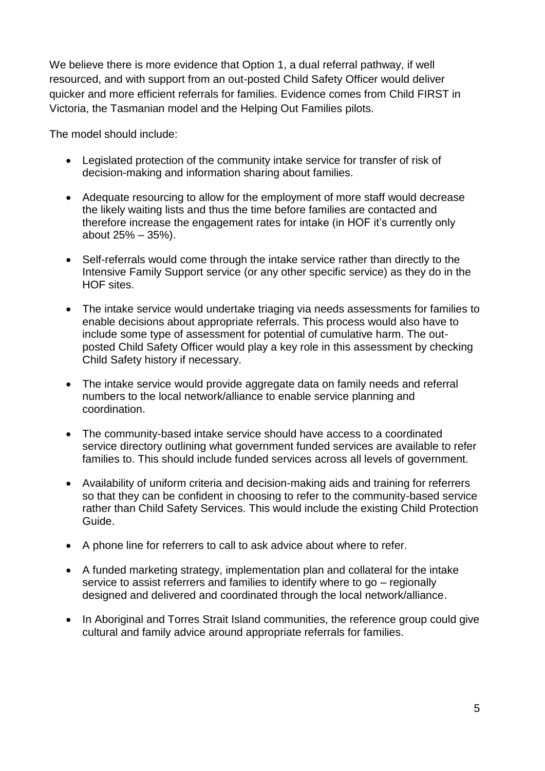We believe there is more evidence that Option 1, a dual referral pathway, if well resourced, and with support from an out-posted Child Safety Officer would deliver quicker and more efficient referrals for families. Evidence comes from Child FIRST in Victoria, the Tasmanian model and the Helping Out Families pilots.

The model should include:

- Legislated protection of the community intake service for transfer of risk of decision-making and information sharing about families.
- Adequate resourcing to allow for the employment of more staff would decrease the likely waiting lists and thus the time before families are contacted and therefore increase the engagement rates for intake (in HOF it's currently only about 25% – 35%).
- Self-referrals would come through the intake service rather than directly to the Intensive Family Support service (or any other specific service) as they do in the HOF sites.
- The intake service would undertake triaging via needs assessments for families to enable decisions about appropriate referrals. This process would also have to include some type of assessment for potential of cumulative harm. The outposted Child Safety Officer would play a key role in this assessment by checking Child Safety history if necessary.
- The intake service would provide aggregate data on family needs and referral numbers to the local network/alliance to enable service planning and coordination.
- The community-based intake service should have access to a coordinated service directory outlining what government funded services are available to refer families to. This should include funded services across all levels of government.
- Availability of uniform criteria and decision-making aids and training for referrers so that they can be confident in choosing to refer to the community-based service rather than Child Safety Services. This would include the existing Child Protection Guide.
- A phone line for referrers to call to ask advice about where to refer.
- A funded marketing strategy, implementation plan and collateral for the intake service to assist referrers and families to identify where to go – regionally designed and delivered and coordinated through the local network/alliance.
- In Aboriginal and Torres Strait Island communities, the reference group could give cultural and family advice around appropriate referrals for families.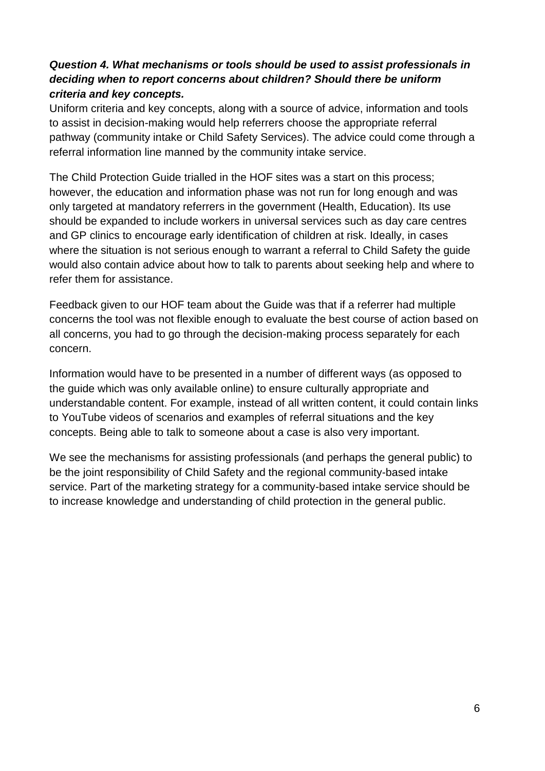# *Question 4. What mechanisms or tools should be used to assist professionals in deciding when to report concerns about children? Should there be uniform criteria and key concepts.*

Uniform criteria and key concepts, along with a source of advice, information and tools to assist in decision-making would help referrers choose the appropriate referral pathway (community intake or Child Safety Services). The advice could come through a referral information line manned by the community intake service.

The Child Protection Guide trialled in the HOF sites was a start on this process; however, the education and information phase was not run for long enough and was only targeted at mandatory referrers in the government (Health, Education). Its use should be expanded to include workers in universal services such as day care centres and GP clinics to encourage early identification of children at risk. Ideally, in cases where the situation is not serious enough to warrant a referral to Child Safety the guide would also contain advice about how to talk to parents about seeking help and where to refer them for assistance.

Feedback given to our HOF team about the Guide was that if a referrer had multiple concerns the tool was not flexible enough to evaluate the best course of action based on all concerns, you had to go through the decision-making process separately for each concern.

Information would have to be presented in a number of different ways (as opposed to the guide which was only available online) to ensure culturally appropriate and understandable content. For example, instead of all written content, it could contain links to YouTube videos of scenarios and examples of referral situations and the key concepts. Being able to talk to someone about a case is also very important.

We see the mechanisms for assisting professionals (and perhaps the general public) to be the joint responsibility of Child Safety and the regional community-based intake service. Part of the marketing strategy for a community-based intake service should be to increase knowledge and understanding of child protection in the general public.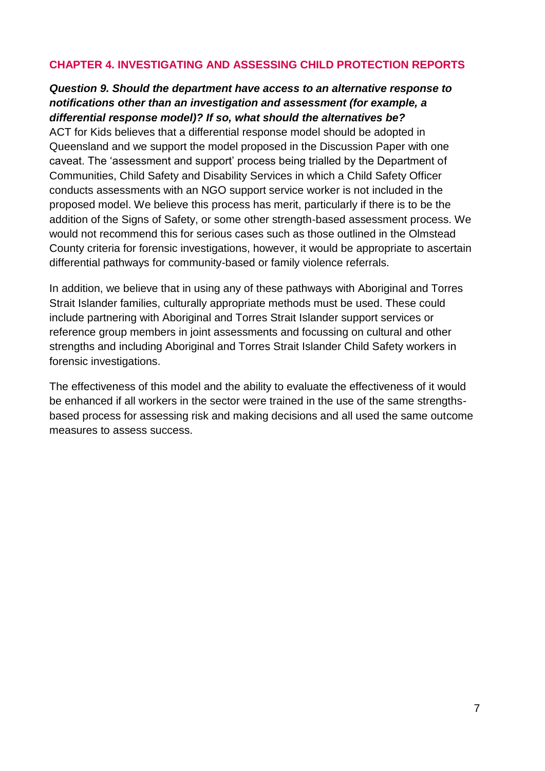#### **CHAPTER 4. INVESTIGATING AND ASSESSING CHILD PROTECTION REPORTS**

#### *Question 9. Should the department have access to an alternative response to notifications other than an investigation and assessment (for example, a differential response model)? If so, what should the alternatives be?*

ACT for Kids believes that a differential response model should be adopted in Queensland and we support the model proposed in the Discussion Paper with one caveat. The 'assessment and support' process being trialled by the Department of Communities, Child Safety and Disability Services in which a Child Safety Officer conducts assessments with an NGO support service worker is not included in the proposed model. We believe this process has merit, particularly if there is to be the addition of the Signs of Safety, or some other strength-based assessment process. We would not recommend this for serious cases such as those outlined in the Olmstead County criteria for forensic investigations, however, it would be appropriate to ascertain differential pathways for community-based or family violence referrals.

In addition, we believe that in using any of these pathways with Aboriginal and Torres Strait Islander families, culturally appropriate methods must be used. These could include partnering with Aboriginal and Torres Strait Islander support services or reference group members in joint assessments and focussing on cultural and other strengths and including Aboriginal and Torres Strait Islander Child Safety workers in forensic investigations.

The effectiveness of this model and the ability to evaluate the effectiveness of it would be enhanced if all workers in the sector were trained in the use of the same strengthsbased process for assessing risk and making decisions and all used the same outcome measures to assess success.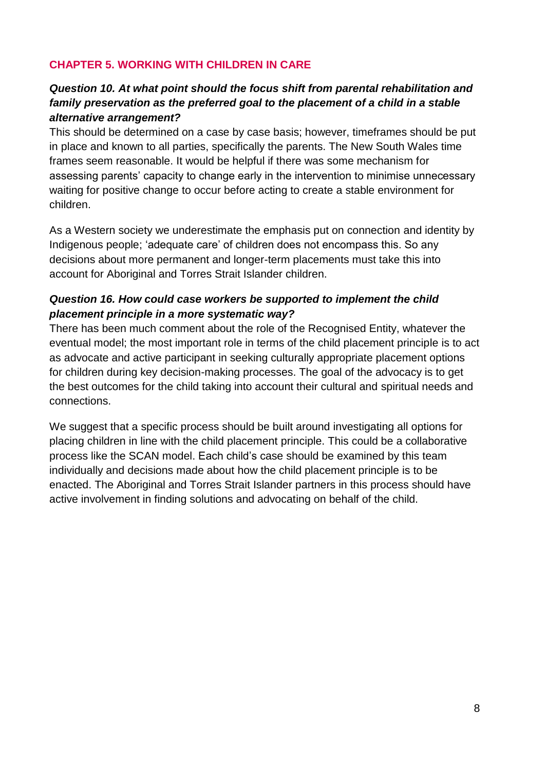## **CHAPTER 5. WORKING WITH CHILDREN IN CARE**

## *Question 10. At what point should the focus shift from parental rehabilitation and family preservation as the preferred goal to the placement of a child in a stable alternative arrangement?*

This should be determined on a case by case basis; however, timeframes should be put in place and known to all parties, specifically the parents. The New South Wales time frames seem reasonable. It would be helpful if there was some mechanism for assessing parents' capacity to change early in the intervention to minimise unnecessary waiting for positive change to occur before acting to create a stable environment for children.

As a Western society we underestimate the emphasis put on connection and identity by Indigenous people; 'adequate care' of children does not encompass this. So any decisions about more permanent and longer-term placements must take this into account for Aboriginal and Torres Strait Islander children.

## *Question 16. How could case workers be supported to implement the child placement principle in a more systematic way?*

There has been much comment about the role of the Recognised Entity, whatever the eventual model; the most important role in terms of the child placement principle is to act as advocate and active participant in seeking culturally appropriate placement options for children during key decision-making processes. The goal of the advocacy is to get the best outcomes for the child taking into account their cultural and spiritual needs and connections.

We suggest that a specific process should be built around investigating all options for placing children in line with the child placement principle. This could be a collaborative process like the SCAN model. Each child's case should be examined by this team individually and decisions made about how the child placement principle is to be enacted. The Aboriginal and Torres Strait Islander partners in this process should have active involvement in finding solutions and advocating on behalf of the child.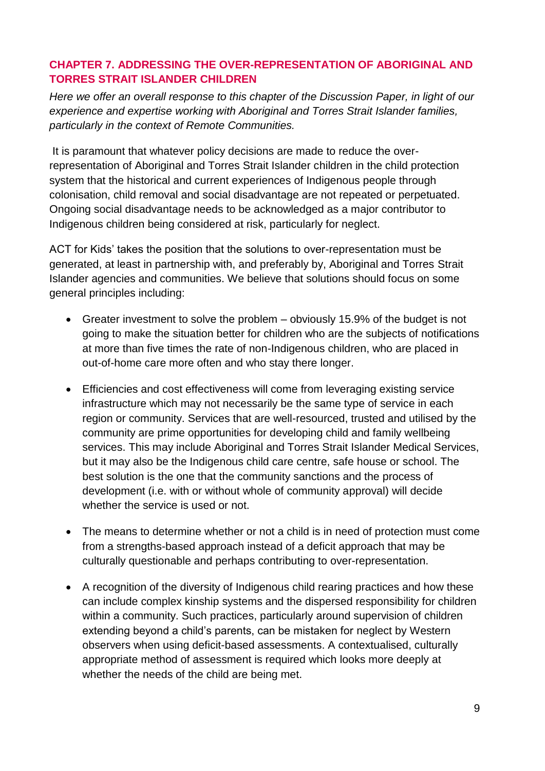# **CHAPTER 7. ADDRESSING THE OVER-REPRESENTATION OF ABORIGINAL AND TORRES STRAIT ISLANDER CHILDREN**

*Here we offer an overall response to this chapter of the Discussion Paper, in light of our experience and expertise working with Aboriginal and Torres Strait Islander families, particularly in the context of Remote Communities.* 

It is paramount that whatever policy decisions are made to reduce the overrepresentation of Aboriginal and Torres Strait Islander children in the child protection system that the historical and current experiences of Indigenous people through colonisation, child removal and social disadvantage are not repeated or perpetuated. Ongoing social disadvantage needs to be acknowledged as a major contributor to Indigenous children being considered at risk, particularly for neglect.

ACT for Kids' takes the position that the solutions to over-representation must be generated, at least in partnership with, and preferably by, Aboriginal and Torres Strait Islander agencies and communities. We believe that solutions should focus on some general principles including:

- Greater investment to solve the problem obviously 15.9% of the budget is not going to make the situation better for children who are the subjects of notifications at more than five times the rate of non-Indigenous children, who are placed in out-of-home care more often and who stay there longer.
- Efficiencies and cost effectiveness will come from leveraging existing service infrastructure which may not necessarily be the same type of service in each region or community. Services that are well-resourced, trusted and utilised by the community are prime opportunities for developing child and family wellbeing services. This may include Aboriginal and Torres Strait Islander Medical Services, but it may also be the Indigenous child care centre, safe house or school. The best solution is the one that the community sanctions and the process of development (i.e. with or without whole of community approval) will decide whether the service is used or not.
- The means to determine whether or not a child is in need of protection must come from a strengths-based approach instead of a deficit approach that may be culturally questionable and perhaps contributing to over-representation.
- A recognition of the diversity of Indigenous child rearing practices and how these can include complex kinship systems and the dispersed responsibility for children within a community. Such practices, particularly around supervision of children extending beyond a child's parents, can be mistaken for neglect by Western observers when using deficit-based assessments. A contextualised, culturally appropriate method of assessment is required which looks more deeply at whether the needs of the child are being met.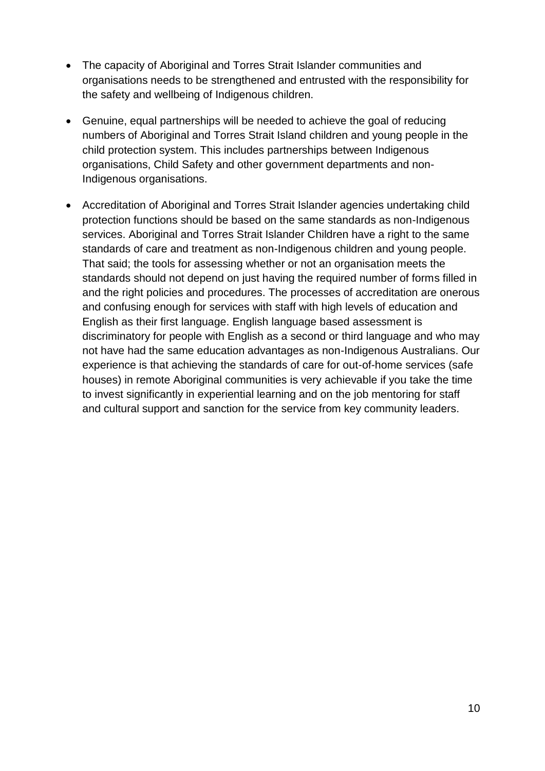- The capacity of Aboriginal and Torres Strait Islander communities and organisations needs to be strengthened and entrusted with the responsibility for the safety and wellbeing of Indigenous children.
- Genuine, equal partnerships will be needed to achieve the goal of reducing numbers of Aboriginal and Torres Strait Island children and young people in the child protection system. This includes partnerships between Indigenous organisations, Child Safety and other government departments and non-Indigenous organisations.
- Accreditation of Aboriginal and Torres Strait Islander agencies undertaking child protection functions should be based on the same standards as non-Indigenous services. Aboriginal and Torres Strait Islander Children have a right to the same standards of care and treatment as non-Indigenous children and young people. That said; the tools for assessing whether or not an organisation meets the standards should not depend on just having the required number of forms filled in and the right policies and procedures. The processes of accreditation are onerous and confusing enough for services with staff with high levels of education and English as their first language. English language based assessment is discriminatory for people with English as a second or third language and who may not have had the same education advantages as non-Indigenous Australians. Our experience is that achieving the standards of care for out-of-home services (safe houses) in remote Aboriginal communities is very achievable if you take the time to invest significantly in experiential learning and on the job mentoring for staff and cultural support and sanction for the service from key community leaders.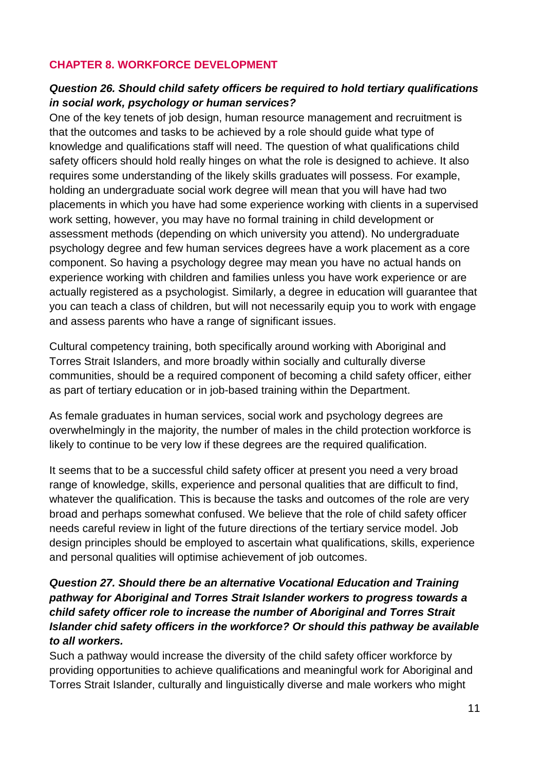## **CHAPTER 8. WORKFORCE DEVELOPMENT**

# *Question 26. Should child safety officers be required to hold tertiary qualifications in social work, psychology or human services?*

One of the key tenets of job design, human resource management and recruitment is that the outcomes and tasks to be achieved by a role should guide what type of knowledge and qualifications staff will need. The question of what qualifications child safety officers should hold really hinges on what the role is designed to achieve. It also requires some understanding of the likely skills graduates will possess. For example, holding an undergraduate social work degree will mean that you will have had two placements in which you have had some experience working with clients in a supervised work setting, however, you may have no formal training in child development or assessment methods (depending on which university you attend). No undergraduate psychology degree and few human services degrees have a work placement as a core component. So having a psychology degree may mean you have no actual hands on experience working with children and families unless you have work experience or are actually registered as a psychologist. Similarly, a degree in education will guarantee that you can teach a class of children, but will not necessarily equip you to work with engage and assess parents who have a range of significant issues.

Cultural competency training, both specifically around working with Aboriginal and Torres Strait Islanders, and more broadly within socially and culturally diverse communities, should be a required component of becoming a child safety officer, either as part of tertiary education or in job-based training within the Department.

As female graduates in human services, social work and psychology degrees are overwhelmingly in the majority, the number of males in the child protection workforce is likely to continue to be very low if these degrees are the required qualification.

It seems that to be a successful child safety officer at present you need a very broad range of knowledge, skills, experience and personal qualities that are difficult to find, whatever the qualification. This is because the tasks and outcomes of the role are very broad and perhaps somewhat confused. We believe that the role of child safety officer needs careful review in light of the future directions of the tertiary service model. Job design principles should be employed to ascertain what qualifications, skills, experience and personal qualities will optimise achievement of job outcomes.

# *Question 27. Should there be an alternative Vocational Education and Training pathway for Aboriginal and Torres Strait Islander workers to progress towards a child safety officer role to increase the number of Aboriginal and Torres Strait Islander chid safety officers in the workforce? Or should this pathway be available to all workers.*

Such a pathway would increase the diversity of the child safety officer workforce by providing opportunities to achieve qualifications and meaningful work for Aboriginal and Torres Strait Islander, culturally and linguistically diverse and male workers who might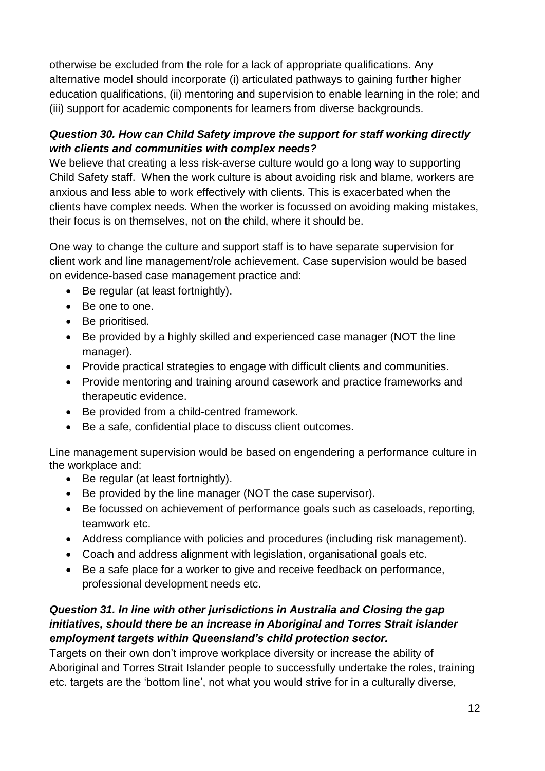otherwise be excluded from the role for a lack of appropriate qualifications. Any alternative model should incorporate (i) articulated pathways to gaining further higher education qualifications, (ii) mentoring and supervision to enable learning in the role; and (iii) support for academic components for learners from diverse backgrounds.

# *Question 30. How can Child Safety improve the support for staff working directly with clients and communities with complex needs?*

We believe that creating a less risk-averse culture would go a long way to supporting Child Safety staff. When the work culture is about avoiding risk and blame, workers are anxious and less able to work effectively with clients. This is exacerbated when the clients have complex needs. When the worker is focussed on avoiding making mistakes, their focus is on themselves, not on the child, where it should be.

One way to change the culture and support staff is to have separate supervision for client work and line management/role achievement. Case supervision would be based on evidence-based case management practice and:

- Be regular (at least fortnightly).
- Be one to one.
- Be prioritised.
- Be provided by a highly skilled and experienced case manager (NOT the line manager).
- Provide practical strategies to engage with difficult clients and communities.
- Provide mentoring and training around casework and practice frameworks and therapeutic evidence.
- Be provided from a child-centred framework.
- Be a safe, confidential place to discuss client outcomes.

Line management supervision would be based on engendering a performance culture in the workplace and:

- Be regular (at least fortnightly).
- Be provided by the line manager (NOT the case supervisor).
- Be focussed on achievement of performance goals such as caseloads, reporting, teamwork etc.
- Address compliance with policies and procedures (including risk management).
- Coach and address alignment with legislation, organisational goals etc.
- Be a safe place for a worker to give and receive feedback on performance, professional development needs etc.

# *Question 31. In line with other jurisdictions in Australia and Closing the gap initiatives, should there be an increase in Aboriginal and Torres Strait islander employment targets within Queensland's child protection sector.*

Targets on their own don't improve workplace diversity or increase the ability of Aboriginal and Torres Strait Islander people to successfully undertake the roles, training etc. targets are the 'bottom line', not what you would strive for in a culturally diverse,